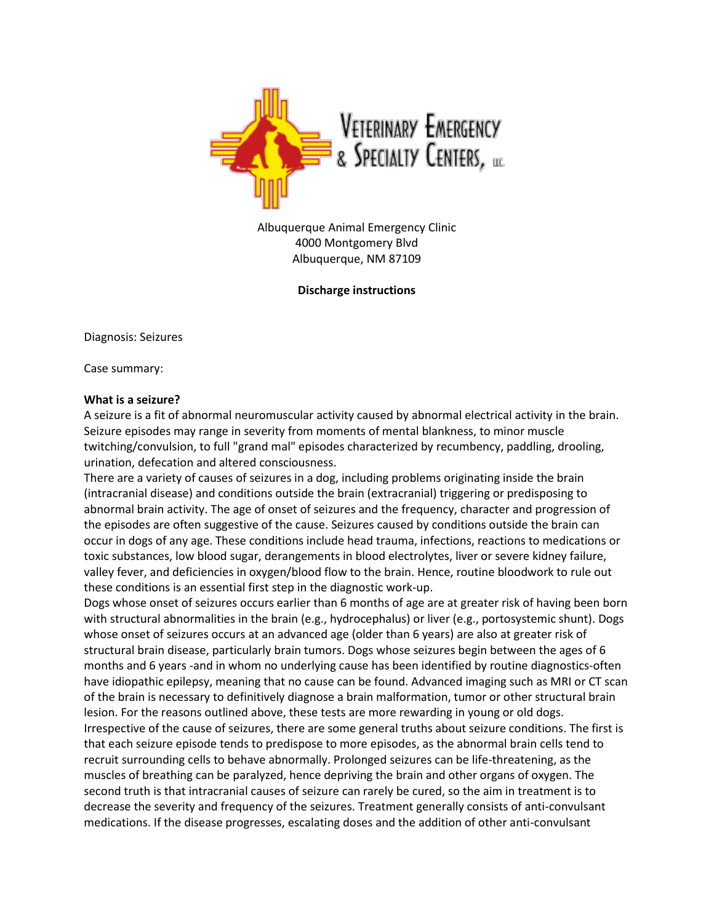

Albuquerque Animal Emergency Clinic 4000 Montgomery Blvd Albuquerque, NM 87109

**Discharge instructions** 

Diagnosis: Seizures

Case summary:

## **What is a seizure?**

A seizure is a fit of abnormal neuromuscular activity caused by abnormal electrical activity in the brain. Seizure episodes may range in severity from moments of mental blankness, to minor muscle twitching/convulsion, to full "grand mal" episodes characterized by recumbency, paddling, drooling, urination, defecation and altered consciousness.

There are a variety of causes of seizures in a dog, including problems originating inside the brain (intracranial disease) and conditions outside the brain (extracranial) triggering or predisposing to abnormal brain activity. The age of onset of seizures and the frequency, character and progression of the episodes are often suggestive of the cause. Seizures caused by conditions outside the brain can occur in dogs of any age. These conditions include head trauma, infections, reactions to medications or toxic substances, low blood sugar, derangements in blood electrolytes, liver or severe kidney failure, valley fever, and deficiencies in oxygen/blood flow to the brain. Hence, routine bloodwork to rule out these conditions is an essential first step in the diagnostic work-up.

Dogs whose onset of seizures occurs earlier than 6 months of age are at greater risk of having been born with structural abnormalities in the brain (e.g., hydrocephalus) or liver (e.g., portosystemic shunt). Dogs whose onset of seizures occurs at an advanced age (older than 6 years) are also at greater risk of structural brain disease, particularly brain tumors. Dogs whose seizures begin between the ages of 6 months and 6 years -and in whom no underlying cause has been identified by routine diagnostics-often have idiopathic epilepsy, meaning that no cause can be found. Advanced imaging such as MRI or CT scan of the brain is necessary to definitively diagnose a brain malformation, tumor or other structural brain lesion. For the reasons outlined above, these tests are more rewarding in young or old dogs. Irrespective of the cause of seizures, there are some general truths about seizure conditions. The first is that each seizure episode tends to predispose to more episodes, as the abnormal brain cells tend to recruit surrounding cells to behave abnormally. Prolonged seizures can be life-threatening, as the muscles of breathing can be paralyzed, hence depriving the brain and other organs of oxygen. The second truth is that intracranial causes of seizure can rarely be cured, so the aim in treatment is to decrease the severity and frequency of the seizures. Treatment generally consists of anti-convulsant medications. If the disease progresses, escalating doses and the addition of other anti-convulsant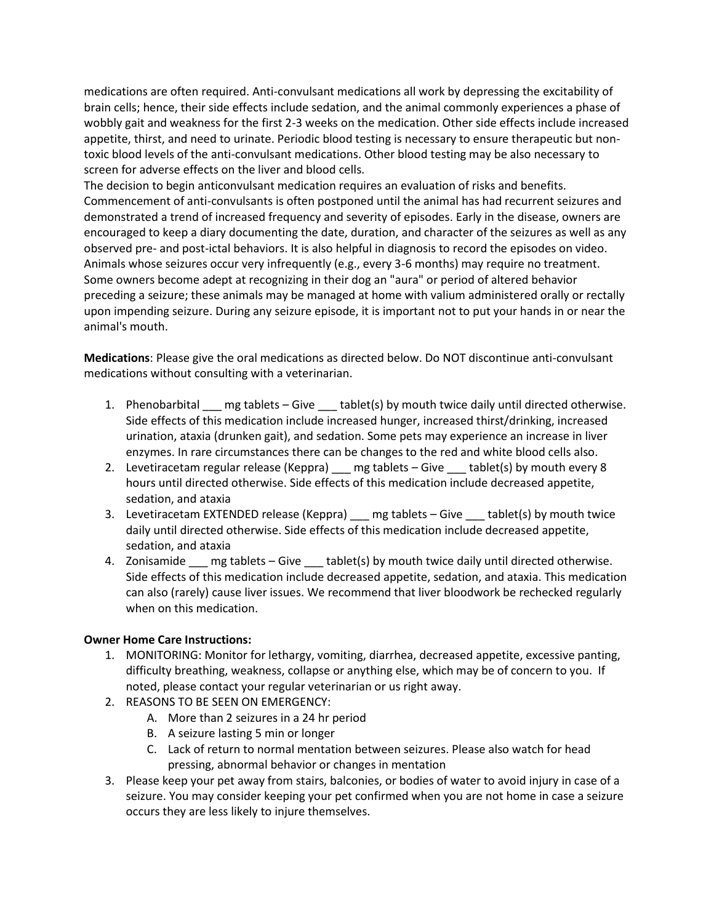medications are often required. Anti-convulsant medications all work by depressing the excitability of brain cells; hence, their side effects include sedation, and the animal commonly experiences a phase of wobbly gait and weakness for the first 2-3 weeks on the medication. Other side effects include increased appetite, thirst, and need to urinate. Periodic blood testing is necessary to ensure therapeutic but nontoxic blood levels of the anti-convulsant medications. Other blood testing may be also necessary to screen for adverse effects on the liver and blood cells.

The decision to begin anticonvulsant medication requires an evaluation of risks and benefits. Commencement of anti-convulsants is often postponed until the animal has had recurrent seizures and demonstrated a trend of increased frequency and severity of episodes. Early in the disease, owners are encouraged to keep a diary documenting the date, duration, and character of the seizures as well as any observed pre- and post-ictal behaviors. It is also helpful in diagnosis to record the episodes on video. Animals whose seizures occur very infrequently (e.g., every 3-6 months) may require no treatment. Some owners become adept at recognizing in their dog an "aura" or period of altered behavior preceding a seizure; these animals may be managed at home with valium administered orally or rectally upon impending seizure. During any seizure episode, it is important not to put your hands in or near the animal's mouth.

**Medications**: Please give the oral medications as directed below. Do NOT discontinue anti-convulsant medications without consulting with a veterinarian.

- 1. Phenobarbital mg tablets Give tablet(s) by mouth twice daily until directed otherwise. Side effects of this medication include increased hunger, increased thirst/drinking, increased urination, ataxia (drunken gait), and sedation. Some pets may experience an increase in liver enzymes. In rare circumstances there can be changes to the red and white blood cells also.
- 2. Levetiracetam regular release (Keppra) \_\_ mg tablets Give \_\_ tablet(s) by mouth every 8 hours until directed otherwise. Side effects of this medication include decreased appetite, sedation, and ataxia
- 3. Levetiracetam EXTENDED release (Keppra) \_\_\_ mg tablets Give \_\_\_ tablet(s) by mouth twice daily until directed otherwise. Side effects of this medication include decreased appetite, sedation, and ataxia
- 4. Zonisamide mg tablets Give tablet(s) by mouth twice daily until directed otherwise. Side effects of this medication include decreased appetite, sedation, and ataxia. This medication can also (rarely) cause liver issues. We recommend that liver bloodwork be rechecked regularly when on this medication.

## **Owner Home Care Instructions:**

- 1. MONITORING: Monitor for lethargy, vomiting, diarrhea, decreased appetite, excessive panting, difficulty breathing, weakness, collapse or anything else, which may be of concern to you. If noted, please contact your regular veterinarian or us right away.
- 2. REASONS TO BE SEEN ON EMERGENCY:
	- A. More than 2 seizures in a 24 hr period
	- B. A seizure lasting 5 min or longer
	- C. Lack of return to normal mentation between seizures. Please also watch for head pressing, abnormal behavior or changes in mentation
- 3. Please keep your pet away from stairs, balconies, or bodies of water to avoid injury in case of a seizure. You may consider keeping your pet confirmed when you are not home in case a seizure occurs they are less likely to injure themselves.